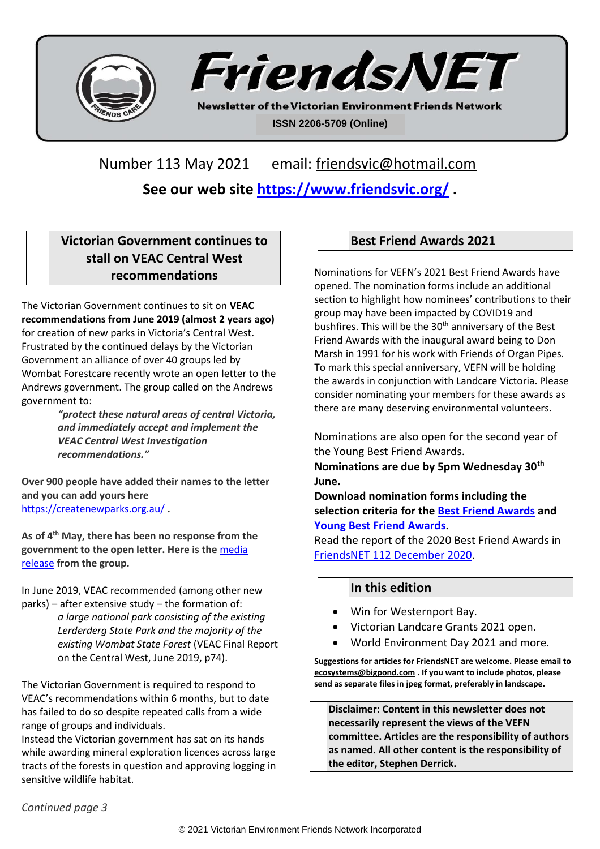



**Newsletter of the Victorian Environment Friends Network ISSN 2206-5709 (Online)**

Number 113 May 2021 email: [friendsvic@hotmail.com](mailto:friendsvic@hotmail.com)

**See our web site<https://www.friendsvic.org/> .**

# **Victorian Government continues to stall on VEAC Central West recommendations**

The Victorian Government continues to sit on **VEAC recommendations from June 2019 (almost 2 years ago)**  for creation of new parks in Victoria's Central West. Frustrated by the continued delays by the Victorian Government an alliance of over 40 groups led by Wombat Forestcare recently wrote an open letter to the Andrews government. The group called on the Andrews government to:

*"protect these natural areas of central Victoria, and immediately accept and implement the VEAC Central West Investigation recommendations."*

**Over 900 people have added their names to the letter and you can add yours here**  <https://createnewparks.org.au/> **.**

**As of 4th May, there has been no response from the government to the open letter. Here is the** [media](https://vnpa.org.au/openletter/)  [release](https://vnpa.org.au/openletter/) **from the group.**

In June 2019, VEAC recommended (among other new parks) – after extensive study – the formation of:

> *a large national park consisting of the existing Lerderderg State Park and the majority of the existing Wombat State Forest* (VEAC Final Report on the Central West, June 2019, p74).

The Victorian Government is required to respond to VEAC's recommendations within 6 months, but to date has failed to do so despite repeated calls from a wide range of groups and individuals.

Instead the Victorian government has sat on its hands while awarding mineral exploration licences across large tracts of the forests in question and approving logging in sensitive wildlife habitat.

## **Best Friend Awards 2021**

Nominations for VEFN's 2021 Best Friend Awards have opened. The nomination forms include an additional section to highlight how nominees' contributions to their group may have been impacted by COVID19 and bushfires. This will be the 30<sup>th</sup> anniversary of the Best Friend Awards with the inaugural award being to Don Marsh in 1991 for his work with Friends of Organ Pipes. To mark this special anniversary, VEFN will be holding the awards in conjunction with Landcare Victoria. Please consider nominating your members for these awards as there are many deserving environmental volunteers.

Nominations are also open for the second year of the Young Best Friend Awards.

**Nominations are due by 5pm Wednesday 30th June.**

**Download nomination forms including the selection criteria for the [Best Friend Awards](file:///C:/Stephen%20Derrick/VEFN/FriendsNet/FriendsNET%20113%20May%202021/VEFNBFANomination2021_OfficialPDF2May21.pdf) and [Young Best Friend Awards.](file:///C:/Stephen%20Derrick/VEFN/FriendsNet/FriendsNET%20113%20May%202021/VEFNYoungBFA2021PDF_Official2May21.pdf)**

Read the report of the 2020 Best Friend Awards in [FriendsNET 112 December 2020.](file:///C:/Stephen%20Derrick/VEFN/FriendsNet/FriendsNET%20112%20Dec%202020/FriendsNET%20112%20Dec%202020.pdf)

## **In this edition**

- Win for Westernport Bay.
- Victorian Landcare Grants 2021 open.
- World Environment Day 2021 and more.

**Suggestions for articles for FriendsNET are welcome. Please email to [ecosystems@bigpond.com](mailto:ecosystems@bigpond.com) . If you want to include photos, please send as separate files in jpeg format, preferably in landscape.**

**Disclaimer: Content in this newsletter does not necessarily represent the views of the VEFN committee. Articles are the responsibility of authors as named. All other content is the responsibility of the editor, Stephen Derrick.**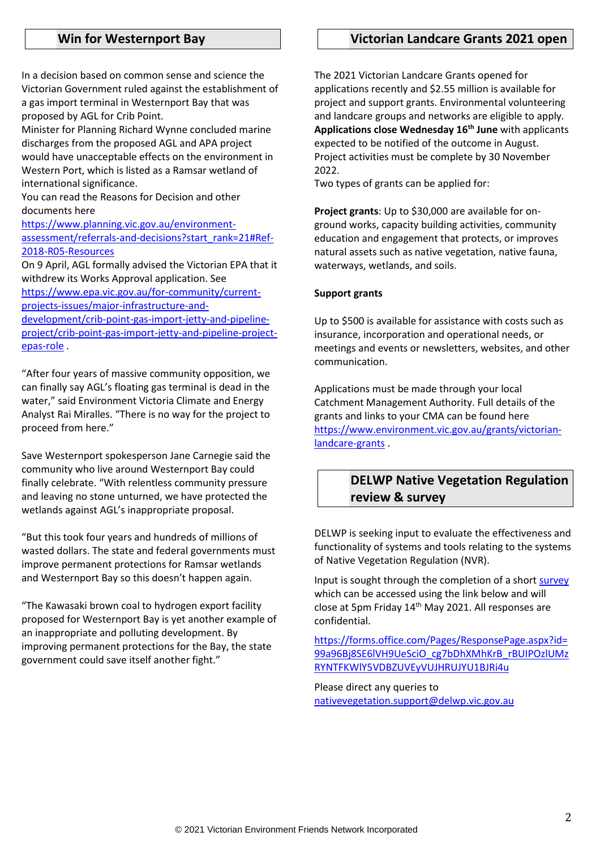#### **Win for Westernport Bay**

In a decision based on common sense and science the Victorian Government ruled against the establishment of a gas import terminal in Westernport Bay that was proposed by AGL for Crib Point.

Minister for Planning Richard Wynne concluded marine discharges from the proposed AGL and APA project would have unacceptable effects on the environment in Western Port, which is listed as a Ramsar wetland of international significance.

You can read the Reasons for Decision and other documents here

[https://www.planning.vic.gov.au/environment](https://www.planning.vic.gov.au/environment-assessment/referrals-and-decisions?start_rank=21#Ref-2018-R05-Resources)[assessment/referrals-and-decisions?start\\_rank=21#Ref-](https://www.planning.vic.gov.au/environment-assessment/referrals-and-decisions?start_rank=21#Ref-2018-R05-Resources)[2018-R05-Resources](https://www.planning.vic.gov.au/environment-assessment/referrals-and-decisions?start_rank=21#Ref-2018-R05-Resources)

On 9 April, AGL formally advised the Victorian EPA that it withdrew its Works Approval application. See

[https://www.epa.vic.gov.au/for-community/current](https://www.epa.vic.gov.au/for-community/current-projects-issues/major-infrastructure-and-development/crib-point-gas-import-jetty-and-pipeline-project/crib-point-gas-import-jetty-and-pipeline-project-epas-role)[projects-issues/major-infrastructure-and-](https://www.epa.vic.gov.au/for-community/current-projects-issues/major-infrastructure-and-development/crib-point-gas-import-jetty-and-pipeline-project/crib-point-gas-import-jetty-and-pipeline-project-epas-role)

[development/crib-point-gas-import-jetty-and-pipeline](https://www.epa.vic.gov.au/for-community/current-projects-issues/major-infrastructure-and-development/crib-point-gas-import-jetty-and-pipeline-project/crib-point-gas-import-jetty-and-pipeline-project-epas-role)[project/crib-point-gas-import-jetty-and-pipeline-project](https://www.epa.vic.gov.au/for-community/current-projects-issues/major-infrastructure-and-development/crib-point-gas-import-jetty-and-pipeline-project/crib-point-gas-import-jetty-and-pipeline-project-epas-role)[epas-role](https://www.epa.vic.gov.au/for-community/current-projects-issues/major-infrastructure-and-development/crib-point-gas-import-jetty-and-pipeline-project/crib-point-gas-import-jetty-and-pipeline-project-epas-role) .

"After four years of massive community opposition, we can finally say AGL's floating gas terminal is dead in the water," said Environment Victoria Climate and Energy Analyst Rai Miralles. "There is no way for the project to proceed from here."

Save Westernport spokesperson Jane Carnegie said the community who live around Westernport Bay could finally celebrate. "With relentless community pressure and leaving no stone unturned, we have protected the wetlands against AGL's inappropriate proposal.

"But this took four years and hundreds of millions of wasted dollars. The state and federal governments must improve permanent protections for Ramsar wetlands and Westernport Bay so this doesn't happen again.

"The Kawasaki brown coal to hydrogen export facility proposed for Westernport Bay is yet another example of an inappropriate and polluting development. By improving permanent protections for the Bay, the state government could save itself another fight."

### **Victorian Landcare Grants 2021 open**

The 2021 Victorian Landcare Grants opened for applications recently and \$2.55 million is available for project and support grants. Environmental volunteering and landcare groups and networks are eligible to apply. **Applications close Wednesday 16th June** with applicants expected to be notified of the outcome in August. Project activities must be complete by 30 November 2022.

Two types of grants can be applied for:

**Project grants**: Up to \$30,000 are available for onground works, capacity building activities, community education and engagement that protects, or improves natural assets such as native vegetation, native fauna, waterways, wetlands, and soils.

#### **Support grants**

Up to \$500 is available for assistance with costs such as insurance, incorporation and operational needs, or meetings and events or newsletters, websites, and other communication.

Applications must be made through your local Catchment Management Authority. Full details of the grants and links to your CMA can be found here [https://www.environment.vic.gov.au/grants/victorian](https://www.environment.vic.gov.au/grants/victorian-landcare-grants)[landcare-grants](https://www.environment.vic.gov.au/grants/victorian-landcare-grants).

## **DELWP Native Vegetation Regulation review & survey**

DELWP is seeking input to evaluate the effectiveness and functionality of systems and tools relating to the systems of Native Vegetation Regulation (NVR).

Input is sought through the completion of a shor[t survey](https://forms.office.com/Pages/ResponsePage.aspx?id=99a96Bj8SE6lVH9UeSciO_cg7bDhXMhKrB_rBUIPOzlUMzRYNTFKWlY5VDBZUVEyVUJHRUJYU1BJRi4u) which can be accessed using the link below and will close at 5pm Friday 14<sup>th</sup> May 2021. All responses are confidential.

[https://forms.office.com/Pages/ResponsePage.aspx?id=](https://forms.office.com/Pages/ResponsePage.aspx?id=99a96Bj8SE6lVH9UeSciO_cg7bDhXMhKrB_rBUIPOzlUMzRYNTFKWlY5VDBZUVEyVUJHRUJYU1BJRi4u) [99a96Bj8SE6lVH9UeSciO\\_cg7bDhXMhKrB\\_rBUIPOzlUMz](https://forms.office.com/Pages/ResponsePage.aspx?id=99a96Bj8SE6lVH9UeSciO_cg7bDhXMhKrB_rBUIPOzlUMzRYNTFKWlY5VDBZUVEyVUJHRUJYU1BJRi4u) [RYNTFKWlY5VDBZUVEyVUJHRUJYU1BJRi4u](https://forms.office.com/Pages/ResponsePage.aspx?id=99a96Bj8SE6lVH9UeSciO_cg7bDhXMhKrB_rBUIPOzlUMzRYNTFKWlY5VDBZUVEyVUJHRUJYU1BJRi4u)

Please direct any queries to [nativevegetation.support@delwp.vic.gov.au](mailto:nativevegetation.support@delwp.vic.gov.au)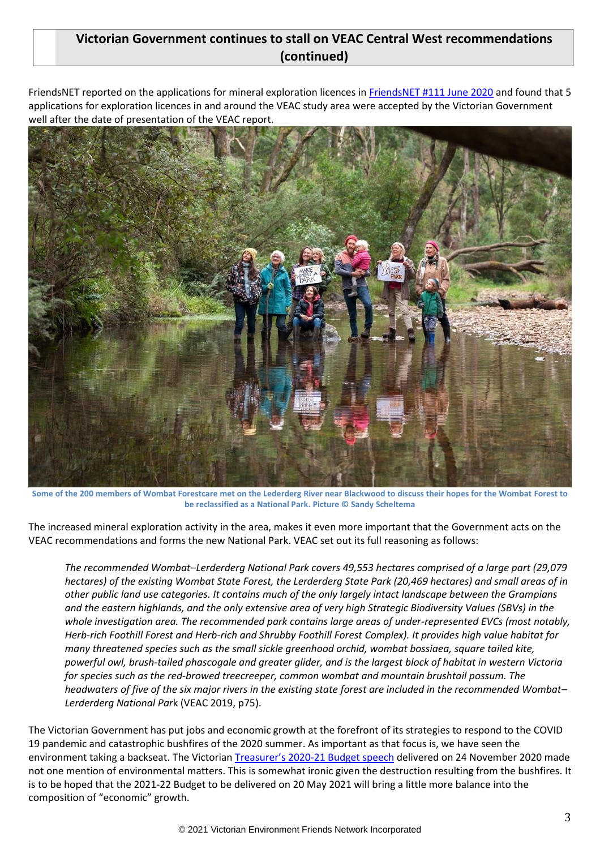## **Victorian Government continues to stall on VEAC Central West recommendations (continued)**

FriendsNET reported on the applications for mineral exploration licences in [FriendsNET #111 June 2020](file:///C:/Stephen%20Derrick/VEFN/FriendsNet/FriendsNET%20111%20June%202020/FriendsNET%20111%20June%202020.pdf) and found that 5 applications for exploration licences in and around the VEAC study area were accepted by the Victorian Government well after the date of presentation of the VEAC report.



**Some of the 200 members of Wombat Forestcare met on the Lederderg River near Blackwood to discuss their hopes for the Wombat Forest to be reclassified as a National Park. Picture © Sandy Scheltema**

The increased mineral exploration activity in the area, makes it even more important that the Government acts on the VEAC recommendations and forms the new National Park. VEAC set out its full reasoning as follows:

*The recommended Wombat–Lerderderg National Park covers 49,553 hectares comprised of a large part (29,079 hectares) of the existing Wombat State Forest, the Lerderderg State Park (20,469 hectares) and small areas of in other public land use categories. It contains much of the only largely intact landscape between the Grampians and the eastern highlands, and the only extensive area of very high Strategic Biodiversity Values (SBVs) in the whole investigation area. The recommended park contains large areas of under-represented EVCs (most notably, Herb-rich Foothill Forest and Herb-rich and Shrubby Foothill Forest Complex). It provides high value habitat for many threatened species such as the small sickle greenhood orchid, wombat bossiaea, square tailed kite, powerful owl, brush-tailed phascogale and greater glider, and is the largest block of habitat in western Victoria for species such as the red-browed treecreeper, common wombat and mountain brushtail possum. The headwaters of five of the six major rivers in the existing state forest are included in the recommended Wombat– Lerderderg National Par*k (VEAC 2019, p75).

The Victorian Government has put jobs and economic growth at the forefront of its strategies to respond to the COVID 19 pandemic and catastrophic bushfires of the 2020 summer. As important as that focus is, we have seen the environment taking a backseat. The Victorian Treasurer's 2020[-21 Budget speech](https://www.budget.vic.gov.au/budget-papers#budget-paper-1-treasurers-speech) delivered on 24 November 2020 made not one mention of environmental matters. This is somewhat ironic given the destruction resulting from the bushfires. It is to be hoped that the 2021-22 Budget to be delivered on 20 May 2021 will bring a little more balance into the composition of "economic" growth.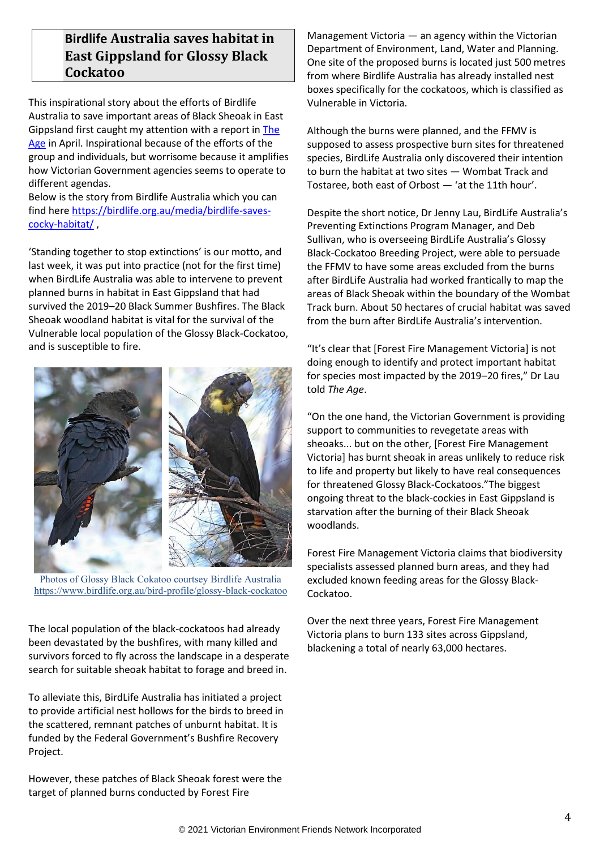# **Birdlife Australia saves habitat in East Gippsland for Glossy Black Cockatoo**

This inspirational story about the efforts of Birdlife Australia to save important areas of Black Sheoak in East Gippsland first caught my attention with a report i[n The](https://www.theage.com.au/environment/conservation/like-the-fires-never-happened-residents-alarmed-at-gippsland-burns-20210409-p57htm.html)  [Age](https://www.theage.com.au/environment/conservation/like-the-fires-never-happened-residents-alarmed-at-gippsland-burns-20210409-p57htm.html) in April. Inspirational because of the efforts of the group and individuals, but worrisome because it amplifies how Victorian Government agencies seems to operate to different agendas.

Below is the story from Birdlife Australia which you can find here [https://birdlife.org.au/media/birdlife-saves](https://birdlife.org.au/media/birdlife-saves-cocky-habitat/)[cocky-habitat/](https://birdlife.org.au/media/birdlife-saves-cocky-habitat/) ,

'Standing together to stop extinctions' is our motto, and last week, it was put into practice (not for the first time) when BirdLife Australia was able to intervene to prevent planned burns in habitat in East Gippsland that had survived the 2019–20 Black Summer Bushfires. The Black Sheoak woodland habitat is vital for the survival of the Vulnerable local population of the Glossy Black-Cockatoo, and is susceptible to fire.



Photos of Glossy Black Cokatoo courtsey Birdlife Australia <https://www.birdlife.org.au/bird-profile/glossy-black-cockatoo>

The local population of the black-cockatoos had already been devastated by the bushfires, with many killed and survivors forced to fly across the landscape in a desperate search for suitable sheoak habitat to forage and breed in.

To alleviate this, BirdLife Australia has initiated a project to provide artificial nest hollows for the birds to breed in the scattered, remnant patches of unburnt habitat. It is funded by the Federal Government's Bushfire Recovery Project.

However, these patches of Black Sheoak forest were the target of planned burns conducted by Forest Fire

Management Victoria — an agency within the Victorian Department of Environment, Land, Water and Planning. One site of the proposed burns is located just 500 metres from where Birdlife Australia has already installed nest boxes specifically for the cockatoos, which is classified as Vulnerable in Victoria.

Although the burns were planned, and the FFMV is supposed to assess prospective burn sites for threatened species, BirdLife Australia only discovered their intention to burn the habitat at two sites — Wombat Track and Tostaree, both east of Orbost — 'at the 11th hour'.

Despite the short notice, Dr Jenny Lau, BirdLife Australia's Preventing Extinctions Program Manager, and Deb Sullivan, who is overseeing BirdLife Australia's Glossy Black-Cockatoo Breeding Project, were able to persuade the FFMV to have some areas excluded from the burns after BirdLife Australia had worked frantically to map the areas of Black Sheoak within the boundary of the Wombat Track burn. About 50 hectares of crucial habitat was saved from the burn after BirdLife Australia's intervention.

"It's clear that [Forest Fire Management Victoria] is not doing enough to identify and protect important habitat for species most impacted by the 2019–20 fires," Dr Lau told *The Age*.

"On the one hand, the Victorian Government is providing support to communities to revegetate areas with sheoaks... but on the other, [Forest Fire Management Victoria] has burnt sheoak in areas unlikely to reduce risk to life and property but likely to have real consequences for threatened Glossy Black-Cockatoos."The biggest ongoing threat to the black-cockies in East Gippsland is starvation after the burning of their Black Sheoak woodlands.

Forest Fire Management Victoria claims that biodiversity specialists assessed planned burn areas, and they had excluded known feeding areas for the Glossy Black-Cockatoo.

Over the next three years, Forest Fire Management Victoria plans to burn 133 sites across Gippsland, blackening a total of nearly 63,000 hectares.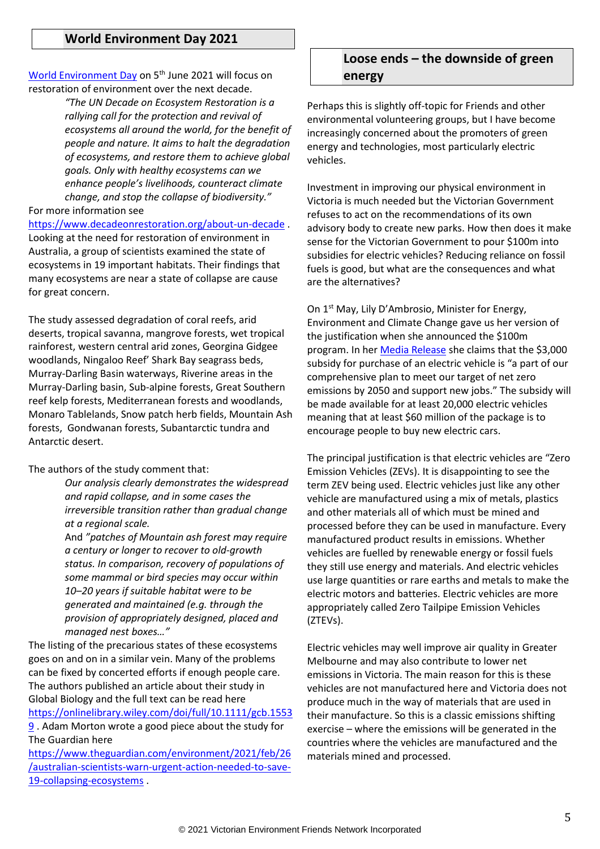#### **World Environment Day 2021**

[World Environment Day](https://www.worldenvironmentday.global/) on 5<sup>th</sup> June 2021 will focus on restoration of environment over the next decade.

> *"The UN Decade on Ecosystem Restoration is a rallying call for the protection and revival of ecosystems all around the world, for the benefit of people and nature. It aims to halt the degradation of ecosystems, and restore them to achieve global goals. Only with healthy ecosystems can we enhance people's livelihoods, counteract climate change, and stop the collapse of biodiversity."*

For more information see

<https://www.decadeonrestoration.org/about-un-decade> . Looking at the need for restoration of environment in Australia, a group of scientists examined the state of ecosystems in 19 important habitats. Their findings that many ecosystems are near a state of collapse are cause for great concern.

The study assessed degradation of coral reefs, arid deserts, tropical savanna, mangrove forests, wet tropical rainforest, western central arid zones, Georgina Gidgee woodlands, Ningaloo Reef' Shark Bay seagrass beds, Murray-Darling Basin waterways, Riverine areas in the Murray-Darling basin, Sub-alpine forests, Great Southern reef kelp forests, Mediterranean forests and woodlands, Monaro Tablelands, Snow patch herb fields, Mountain Ash forests, Gondwanan forests, Subantarctic tundra and Antarctic desert.

The authors of the study comment that:

*Our analysis clearly demonstrates the widespread and rapid collapse, and in some cases the irreversible transition rather than gradual change at a regional scale.*

And *"patches of Mountain ash forest may require a century or longer to recover to old‐growth status. In comparison, recovery of populations of some mammal or bird species may occur within 10–20 years if suitable habitat were to be generated and maintained (e.g. through the provision of appropriately designed, placed and managed nest boxes…"*

The listing of the precarious states of these ecosystems goes on and on in a similar vein. Many of the problems can be fixed by concerted efforts if enough people care. The authors published an article about their study in Global Biology and the full text can be read here [https://onlinelibrary.wiley.com/doi/full/10.1111/gcb.1553](https://onlinelibrary.wiley.com/doi/full/10.1111/gcb.15539)

[9](https://onlinelibrary.wiley.com/doi/full/10.1111/gcb.15539). Adam Morton wrote a good piece about the study for The Guardian here

[https://www.theguardian.com/environment/2021/feb/26](https://www.theguardian.com/environment/2021/feb/26/australian-scientists-warn-urgent-action-needed-to-save-19-collapsing-ecosystems) [/australian-scientists-warn-urgent-action-needed-to-save-](https://www.theguardian.com/environment/2021/feb/26/australian-scientists-warn-urgent-action-needed-to-save-19-collapsing-ecosystems)[19-collapsing-ecosystems](https://www.theguardian.com/environment/2021/feb/26/australian-scientists-warn-urgent-action-needed-to-save-19-collapsing-ecosystems) .

## **Loose ends – the downside of green energy**

Perhaps this is slightly off-topic for Friends and other environmental volunteering groups, but I have become increasingly concerned about the promoters of green energy and technologies, most particularly electric vehicles.

Investment in improving our physical environment in Victoria is much needed but the Victorian Government refuses to act on the recommendations of its own advisory body to create new parks. How then does it make sense for the Victorian Government to pour \$100m into subsidies for electric vehicles? Reducing reliance on fossil fuels is good, but what are the consequences and what are the alternatives?

On 1<sup>st</sup> May, Lily D'Ambrosio, Minister for Energy, Environment and Climate Change gave us her version of the justification when she announced the \$100m program. In her [Media Release](https://www.premier.vic.gov.au/driving-towards-zero-emissions-vehicle-future) she claims that the \$3,000 subsidy for purchase of an electric vehicle is "a part of our comprehensive plan to meet our target of net zero emissions by 2050 and support new jobs." The subsidy will be made available for at least 20,000 electric vehicles meaning that at least \$60 million of the package is to encourage people to buy new electric cars.

The principal justification is that electric vehicles are "Zero Emission Vehicles (ZEVs). It is disappointing to see the term ZEV being used. Electric vehicles just like any other vehicle are manufactured using a mix of metals, plastics and other materials all of which must be mined and processed before they can be used in manufacture. Every manufactured product results in emissions. Whether vehicles are fuelled by renewable energy or fossil fuels they still use energy and materials. And electric vehicles use large quantities or rare earths and metals to make the electric motors and batteries. Electric vehicles are more appropriately called Zero Tailpipe Emission Vehicles (ZTEVs).

Electric vehicles may well improve air quality in Greater Melbourne and may also contribute to lower net emissions in Victoria. The main reason for this is these vehicles are not manufactured here and Victoria does not produce much in the way of materials that are used in their manufacture. So this is a classic emissions shifting exercise – where the emissions will be generated in the countries where the vehicles are manufactured and the materials mined and processed.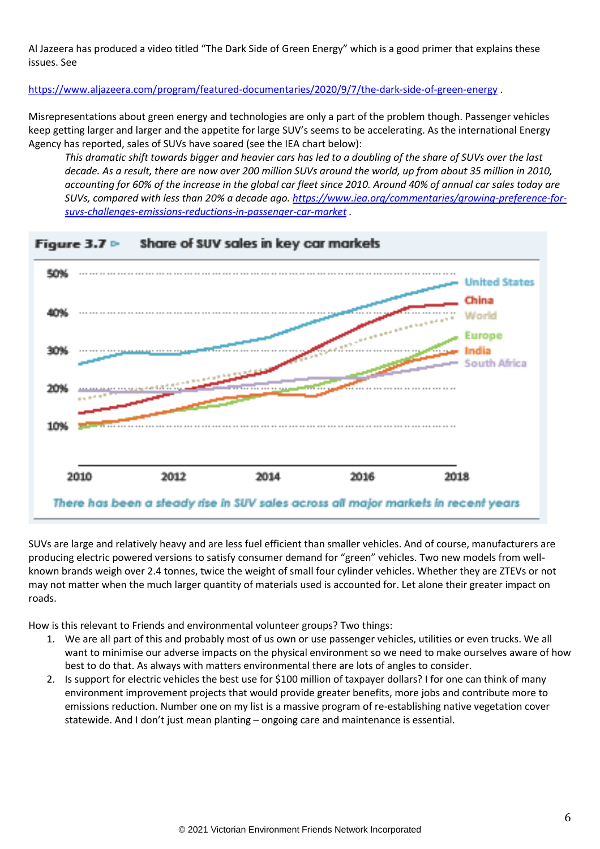Al Jazeera has produced a video titled "The Dark Side of Green Energy" which is a good primer that explains these issues. See

<https://www.aljazeera.com/program/featured-documentaries/2020/9/7/the-dark-side-of-green-energy> .

Misrepresentations about green energy and technologies are only a part of the problem though. Passenger vehicles keep getting larger and larger and the appetite for large SUV's seems to be accelerating. As the international Energy Agency has reported, sales of SUVs have soared (see the IEA chart below):

*This dramatic shift towards bigger and heavier cars has led to a doubling of the share of SUVs over the last decade. As a result, there are now over 200 million SUVs around the world, up from about 35 million in 2010, accounting for 60% of the increase in the global car fleet since 2010. Around 40% of annual car sales today are SUVs, compared with less than 20% a decade ago. [https://www.iea.org/commentaries/growing-preference-for](https://www.iea.org/commentaries/growing-preference-for-suvs-challenges-emissions-reductions-in-passenger-car-market)[suvs-challenges-emissions-reductions-in-passenger-car-market](https://www.iea.org/commentaries/growing-preference-for-suvs-challenges-emissions-reductions-in-passenger-car-market) .*



Share of SUV sales in key car markets

SUVs are large and relatively heavy and are less fuel efficient than smaller vehicles. And of course, manufacturers are producing electric powered versions to satisfy consumer demand for "green" vehicles. Two new models from wellknown brands weigh over 2.4 tonnes, twice the weight of small four cylinder vehicles. Whether they are ZTEVs or not may not matter when the much larger quantity of materials used is accounted for. Let alone their greater impact on roads.

How is this relevant to Friends and environmental volunteer groups? Two things:

- 1. We are all part of this and probably most of us own or use passenger vehicles, utilities or even trucks. We all want to minimise our adverse impacts on the physical environment so we need to make ourselves aware of how best to do that. As always with matters environmental there are lots of angles to consider.
- 2. Is support for electric vehicles the best use for \$100 million of taxpayer dollars? I for one can think of many environment improvement projects that would provide greater benefits, more jobs and contribute more to emissions reduction. Number one on my list is a massive program of re-establishing native vegetation cover statewide. And I don't just mean planting – ongoing care and maintenance is essential.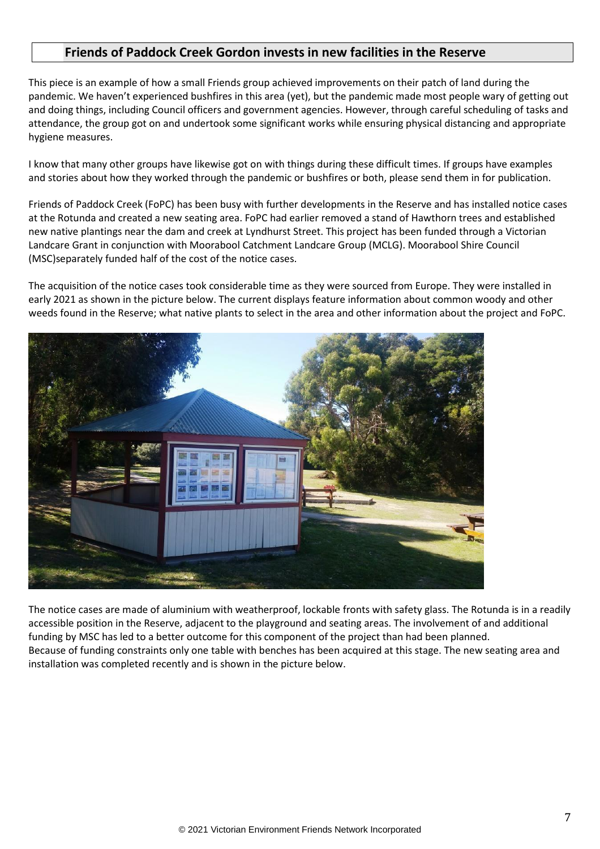## **Friends of Paddock Creek Gordon invests in new facilities in the Reserve**

This piece is an example of how a small Friends group achieved improvements on their patch of land during the pandemic. We haven't experienced bushfires in this area (yet), but the pandemic made most people wary of getting out and doing things, including Council officers and government agencies. However, through careful scheduling of tasks and attendance, the group got on and undertook some significant works while ensuring physical distancing and appropriate hygiene measures.

I know that many other groups have likewise got on with things during these difficult times. If groups have examples and stories about how they worked through the pandemic or bushfires or both, please send them in for publication.

Friends of Paddock Creek (FoPC) has been busy with further developments in the Reserve and has installed notice cases at the Rotunda and created a new seating area. FoPC had earlier removed a stand of Hawthorn trees and established new native plantings near the dam and creek at Lyndhurst Street. This project has been funded through a Victorian Landcare Grant in conjunction with Moorabool Catchment Landcare Group (MCLG). Moorabool Shire Council (MSC)separately funded half of the cost of the notice cases.

The acquisition of the notice cases took considerable time as they were sourced from Europe. They were installed in early 2021 as shown in the picture below. The current displays feature information about common woody and other weeds found in the Reserve; what native plants to select in the area and other information about the project and FoPC.



The notice cases are made of aluminium with weatherproof, lockable fronts with safety glass. The Rotunda is in a readily accessible position in the Reserve, adjacent to the playground and seating areas. The involvement of and additional funding by MSC has led to a better outcome for this component of the project than had been planned. Because of funding constraints only one table with benches has been acquired at this stage. The new seating area and installation was completed recently and is shown in the picture below.